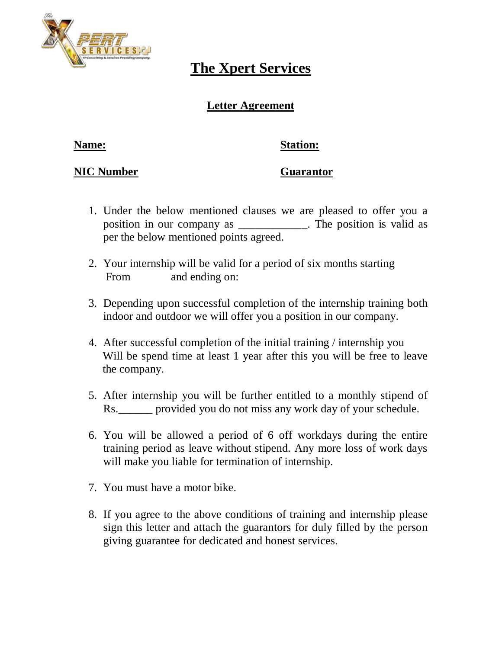

# **The Xpert Services**

### **Letter Agreement**

### **Name: Station:**

### **NIC Number Guarantor**

- 1. Under the below mentioned clauses we are pleased to offer you a position in our company as The position is valid as per the below mentioned points agreed.
- 2. Your internship will be valid for a period of six months starting From and ending on:
- 3. Depending upon successful completion of the internship training both indoor and outdoor we will offer you a position in our company.
- 4. After successful completion of the initial training / internship you Will be spend time at least 1 year after this you will be free to leave the company.
- 5. After internship you will be further entitled to a monthly stipend of Rs.\_\_\_\_\_\_ provided you do not miss any work day of your schedule.
- 6. You will be allowed a period of 6 off workdays during the entire training period as leave without stipend. Any more loss of work days will make you liable for termination of internship.
- 7. You must have a motor bike.
- 8. If you agree to the above conditions of training and internship please sign this letter and attach the guarantors for duly filled by the person giving guarantee for dedicated and honest services.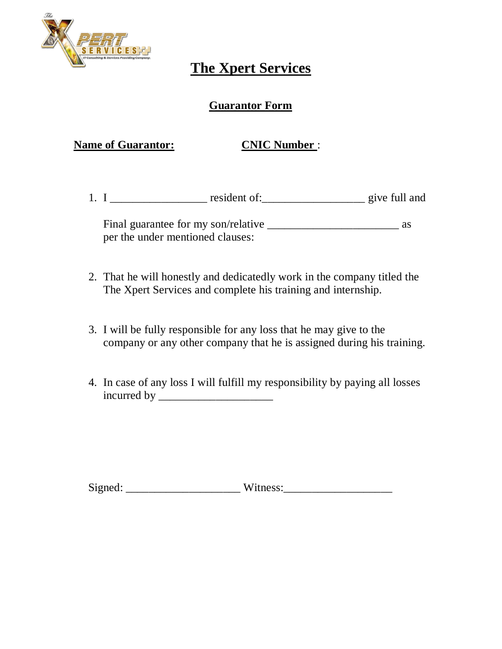

## **The Xpert Services**

### **Guarantor Form**

**Name of Guarantor: CNIC Number :** 

1. I \_\_\_\_\_\_\_\_\_\_\_\_\_\_\_\_\_\_\_\_ resident of: \_\_\_\_\_\_\_\_\_\_\_\_\_\_\_\_\_\_\_\_\_\_\_\_ give full and

Final guarantee for my son/relative \_\_\_\_\_\_\_\_\_\_\_\_\_\_\_\_\_\_\_\_\_\_\_ as per the under mentioned clauses:

- 2. That he will honestly and dedicatedly work in the company titled the The Xpert Services and complete his training and internship.
- 3. I will be fully responsible for any loss that he may give to the company or any other company that he is assigned during his training.
- 4. In case of any loss I will fulfill my responsibility by paying all losses incurred by \_\_\_\_\_\_\_\_\_\_\_\_\_\_\_\_\_\_\_\_

Signed: \_\_\_\_\_\_\_\_\_\_\_\_\_\_\_\_\_\_\_\_ Witness:\_\_\_\_\_\_\_\_\_\_\_\_\_\_\_\_\_\_\_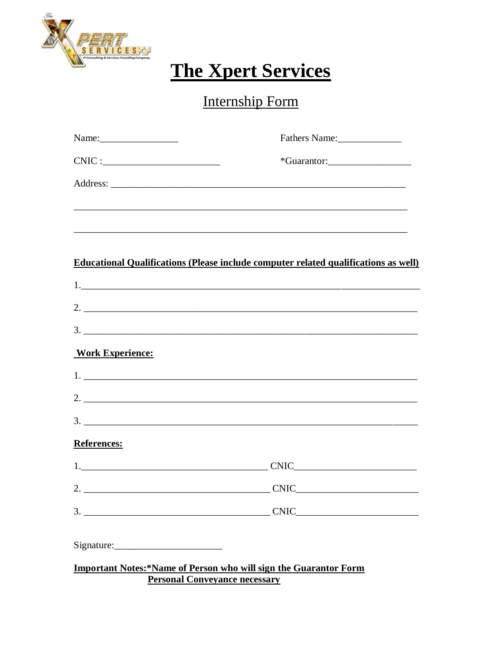

# **The Xpert Services**

# Internship Form

| Name: $\frac{1}{\sqrt{1-\frac{1}{2}}}\left\{ \frac{1}{2}, \frac{1}{2}, \frac{1}{2}, \frac{1}{2}, \frac{1}{2}, \frac{1}{2}, \frac{1}{2}, \frac{1}{2}, \frac{1}{2}, \frac{1}{2}, \frac{1}{2}, \frac{1}{2}, \frac{1}{2}, \frac{1}{2}, \frac{1}{2}, \frac{1}{2}, \frac{1}{2}, \frac{1}{2}, \frac{1}{2}, \frac{1}{2}, \frac{1}{2}, \frac{1}{2}, \frac{1}{2}, \frac{1}{2}, \frac{1}{2}, \frac{1}{2}, \frac{1}{2}, \frac{1}{2$ | Fathers Name:                                                                                                   |
|-------------------------------------------------------------------------------------------------------------------------------------------------------------------------------------------------------------------------------------------------------------------------------------------------------------------------------------------------------------------------------------------------------------------------|-----------------------------------------------------------------------------------------------------------------|
| $CNIC:$                                                                                                                                                                                                                                                                                                                                                                                                                 |                                                                                                                 |
|                                                                                                                                                                                                                                                                                                                                                                                                                         |                                                                                                                 |
|                                                                                                                                                                                                                                                                                                                                                                                                                         |                                                                                                                 |
|                                                                                                                                                                                                                                                                                                                                                                                                                         |                                                                                                                 |
|                                                                                                                                                                                                                                                                                                                                                                                                                         |                                                                                                                 |
|                                                                                                                                                                                                                                                                                                                                                                                                                         | <b>Educational Qualifications (Please include computer related qualifications as well)</b>                      |
|                                                                                                                                                                                                                                                                                                                                                                                                                         |                                                                                                                 |
|                                                                                                                                                                                                                                                                                                                                                                                                                         |                                                                                                                 |
|                                                                                                                                                                                                                                                                                                                                                                                                                         | $3.$ $\overline{\phantom{a}}$                                                                                   |
| <b>Work Experience:</b>                                                                                                                                                                                                                                                                                                                                                                                                 |                                                                                                                 |
|                                                                                                                                                                                                                                                                                                                                                                                                                         | $1.$ $\overline{\phantom{a}}$                                                                                   |
|                                                                                                                                                                                                                                                                                                                                                                                                                         |                                                                                                                 |
|                                                                                                                                                                                                                                                                                                                                                                                                                         |                                                                                                                 |
| References:                                                                                                                                                                                                                                                                                                                                                                                                             |                                                                                                                 |
|                                                                                                                                                                                                                                                                                                                                                                                                                         |                                                                                                                 |
|                                                                                                                                                                                                                                                                                                                                                                                                                         |                                                                                                                 |
|                                                                                                                                                                                                                                                                                                                                                                                                                         | $\text{CNIC}\_$                                                                                                 |
|                                                                                                                                                                                                                                                                                                                                                                                                                         |                                                                                                                 |
|                                                                                                                                                                                                                                                                                                                                                                                                                         | <b>Important Notes:*Name of Person who will sign the Guarantor Form</b><br><b>Personal Convevance necessary</b> |